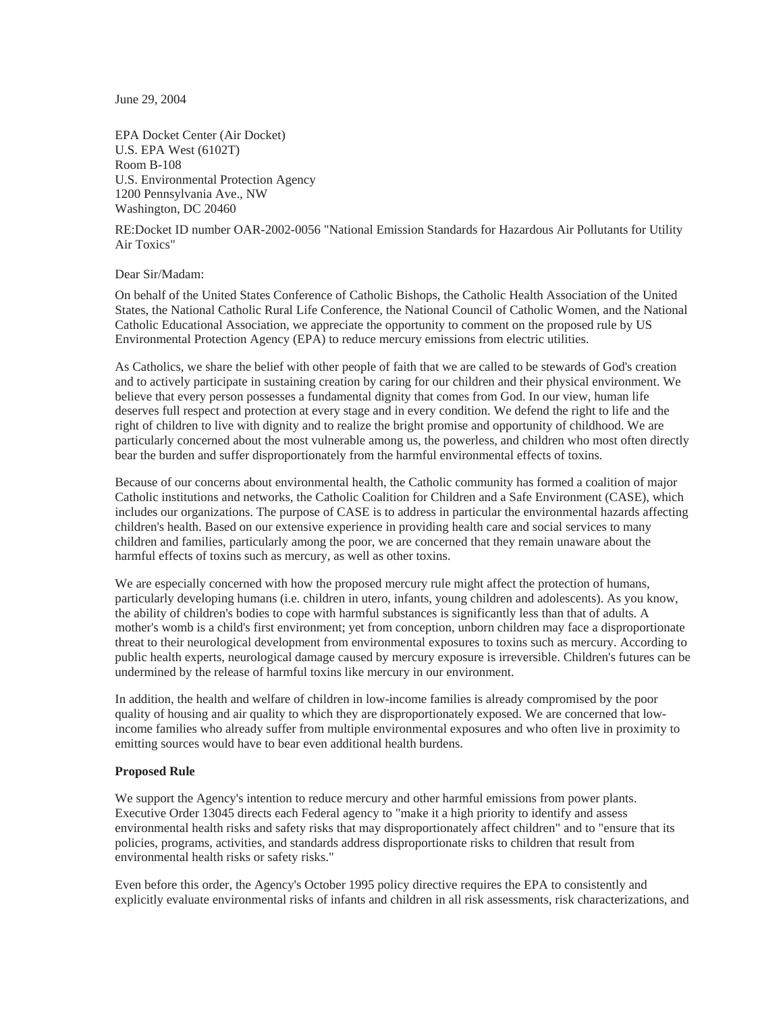June 29, 2004

EPA Docket Center (Air Docket) U.S. EPA West (6102T) Room B-108 U.S. Environmental Protection Agency 1200 Pennsylvania Ave., NW Washington, DC 20460

RE:Docket ID number OAR-2002-0056 "National Emission Standards for Hazardous Air Pollutants for Utility Air Toxics"

## Dear Sir/Madam:

On behalf of the United States Conference of Catholic Bishops, the Catholic Health Association of the United States, the National Catholic Rural Life Conference, the National Council of Catholic Women, and the National Catholic Educational Association, we appreciate the opportunity to comment on the proposed rule by US Environmental Protection Agency (EPA) to reduce mercury emissions from electric utilities.

As Catholics, we share the belief with other people of faith that we are called to be stewards of God's creation and to actively participate in sustaining creation by caring for our children and their physical environment. We believe that every person possesses a fundamental dignity that comes from God. In our view, human life deserves full respect and protection at every stage and in every condition. We defend the right to life and the right of children to live with dignity and to realize the bright promise and opportunity of childhood. We are particularly concerned about the most vulnerable among us, the powerless, and children who most often directly bear the burden and suffer disproportionately from the harmful environmental effects of toxins.

Because of our concerns about environmental health, the Catholic community has formed a coalition of major Catholic institutions and networks, the Catholic Coalition for Children and a Safe Environment (CASE), which includes our organizations. The purpose of CASE is to address in particular the environmental hazards affecting children's health. Based on our extensive experience in providing health care and social services to many children and families, particularly among the poor, we are concerned that they remain unaware about the harmful effects of toxins such as mercury, as well as other toxins.

We are especially concerned with how the proposed mercury rule might affect the protection of humans, particularly developing humans (i.e. children in utero, infants, young children and adolescents). As you know, the ability of children's bodies to cope with harmful substances is significantly less than that of adults. A mother's womb is a child's first environment; yet from conception, unborn children may face a disproportionate threat to their neurological development from environmental exposures to toxins such as mercury. According to public health experts, neurological damage caused by mercury exposure is irreversible. Children's futures can be undermined by the release of harmful toxins like mercury in our environment.

In addition, the health and welfare of children in low-income families is already compromised by the poor quality of housing and air quality to which they are disproportionately exposed. We are concerned that lowincome families who already suffer from multiple environmental exposures and who often live in proximity to emitting sources would have to bear even additional health burdens.

## **Proposed Rule**

We support the Agency's intention to reduce mercury and other harmful emissions from power plants. Executive Order 13045 directs each Federal agency to "make it a high priority to identify and assess environmental health risks and safety risks that may disproportionately affect children" and to "ensure that its policies, programs, activities, and standards address disproportionate risks to children that result from environmental health risks or safety risks."

Even before this order, the Agency's October 1995 policy directive requires the EPA to consistently and explicitly evaluate environmental risks of infants and children in all risk assessments, risk characterizations, and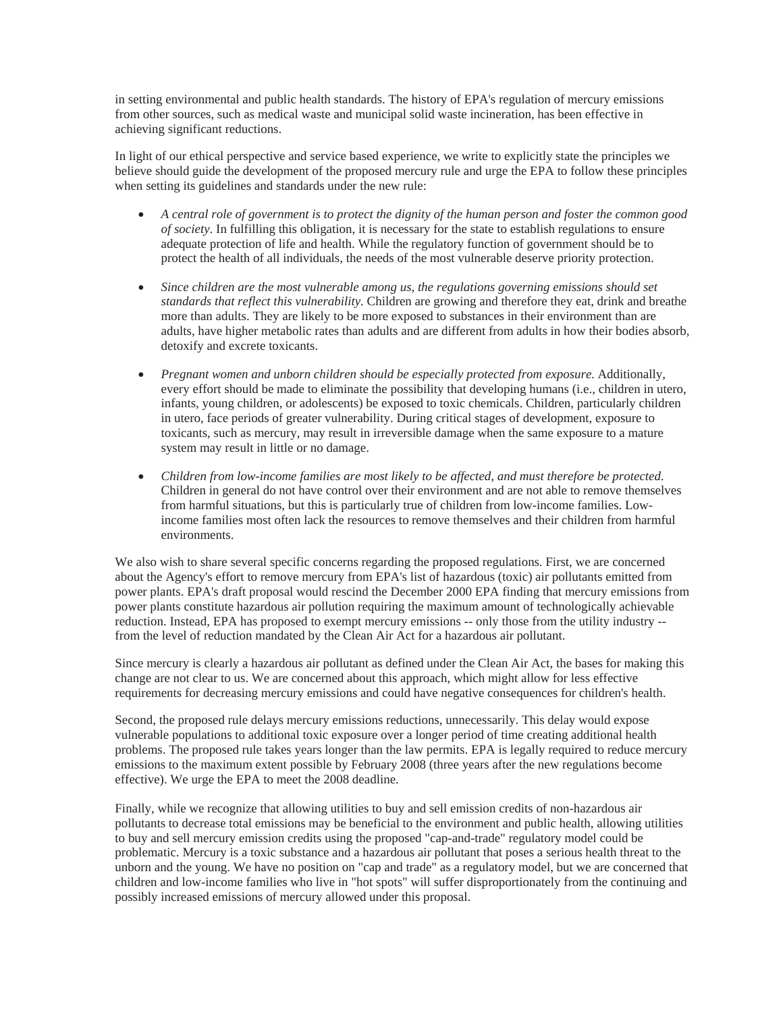in setting environmental and public health standards. The history of EPA's regulation of mercury emissions from other sources, such as medical waste and municipal solid waste incineration, has been effective in achieving significant reductions.

In light of our ethical perspective and service based experience, we write to explicitly state the principles we believe should guide the development of the proposed mercury rule and urge the EPA to follow these principles when setting its guidelines and standards under the new rule:

- x *A central role of government is to protect the dignity of the human person and foster the common good of society*. In fulfilling this obligation, it is necessary for the state to establish regulations to ensure adequate protection of life and health. While the regulatory function of government should be to protect the health of all individuals, the needs of the most vulnerable deserve priority protection.
- Since children are the most vulnerable among us, the regulations governing emissions should set *standards that reflect this vulnerability*. Children are growing and therefore they eat, drink and breathe more than adults. They are likely to be more exposed to substances in their environment than are adults, have higher metabolic rates than adults and are different from adults in how their bodies absorb, detoxify and excrete toxicants.
- *Pregnant women and unborn children should be especially protected from exposure*. Additionally, every effort should be made to eliminate the possibility that developing humans (i.e., children in utero, infants, young children, or adolescents) be exposed to toxic chemicals. Children, particularly children in utero, face periods of greater vulnerability. During critical stages of development, exposure to toxicants, such as mercury, may result in irreversible damage when the same exposure to a mature system may result in little or no damage.
- x *Children from low-income families are most likely to be affected, and must therefore be protected*. Children in general do not have control over their environment and are not able to remove themselves from harmful situations, but this is particularly true of children from low-income families. Lowincome families most often lack the resources to remove themselves and their children from harmful environments.

We also wish to share several specific concerns regarding the proposed regulations. First, we are concerned about the Agency's effort to remove mercury from EPA's list of hazardous (toxic) air pollutants emitted from power plants. EPA's draft proposal would rescind the December 2000 EPA finding that mercury emissions from power plants constitute hazardous air pollution requiring the maximum amount of technologically achievable reduction. Instead, EPA has proposed to exempt mercury emissions -- only those from the utility industry - from the level of reduction mandated by the Clean Air Act for a hazardous air pollutant.

Since mercury is clearly a hazardous air pollutant as defined under the Clean Air Act, the bases for making this change are not clear to us. We are concerned about this approach, which might allow for less effective requirements for decreasing mercury emissions and could have negative consequences for children's health.

Second, the proposed rule delays mercury emissions reductions, unnecessarily. This delay would expose vulnerable populations to additional toxic exposure over a longer period of time creating additional health problems. The proposed rule takes years longer than the law permits. EPA is legally required to reduce mercury emissions to the maximum extent possible by February 2008 (three years after the new regulations become effective). We urge the EPA to meet the 2008 deadline.

Finally, while we recognize that allowing utilities to buy and sell emission credits of non-hazardous air pollutants to decrease total emissions may be beneficial to the environment and public health, allowing utilities to buy and sell mercury emission credits using the proposed "cap-and-trade" regulatory model could be problematic. Mercury is a toxic substance and a hazardous air pollutant that poses a serious health threat to the unborn and the young. We have no position on "cap and trade" as a regulatory model, but we are concerned that children and low-income families who live in "hot spots" will suffer disproportionately from the continuing and possibly increased emissions of mercury allowed under this proposal.